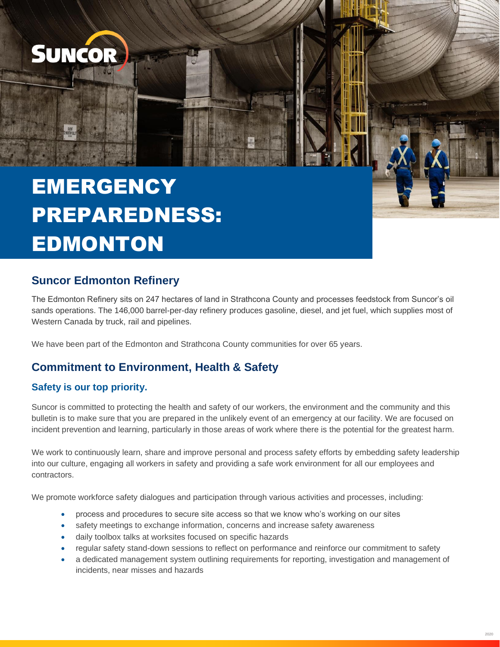

# **EMERGENCY** PREPAREDNESS: **EDMONTON**

# **Suncor Edmonton Refinery**

 The Edmonton Refinery sits on 247 hectares of land in Strathcona County and processes feedstock from Suncor's oil sands operations. The 146,000 barrel-per-day refinery produces gasoline, diesel, and jet fuel, which supplies most of Western Canada by truck, rail and pipelines.

We have been part of the Edmonton and Strathcona County communities for over 65 years.

#### **Commitment to Environment, Health & Safety**

#### **Safety is our top priority.**

Suncor is committed to protecting the health and safety of our workers, the environment and the community and this bulletin is to make sure that you are prepared in the unlikely event of an emergency at our facility. We are focused on incident prevention and learning, particularly in those areas of work where there is the potential for the greatest harm.

We work to continuously learn, share and improve personal and process safety efforts by embedding safety leadership into our culture, engaging all workers in safety and providing a safe work environment for all our employees and contractors.

We promote workforce safety dialogues and participation through various activities and processes, including:

- process and procedures to secure site access so that we know who's working on our sites
- safety meetings to exchange information, concerns and increase safety awareness
- daily toolbox talks at worksites focused on specific hazards
- regular safety stand-down sessions to reflect on performance and reinforce our commitment to safety
- a dedicated management system outlining requirements for reporting, investigation and management of incidents, near misses and hazards